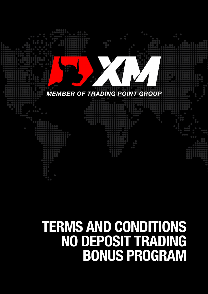

# **TERMS AND CONDITIONS<br>NO DEPOSIT TRADING<br>BONUS PROGRAM**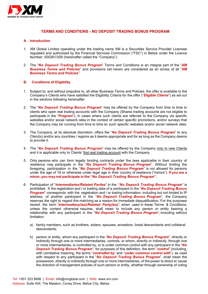

# **TERMS AND CONDITIONS - NO DEPOSIT TRADING BONUS PROGRAM**

### **A. Introduction**

- 1. XM Global Limited operating under the trading name XM is a Securities Service Provider Licensee regulated and authorised by the Financial Services Commission ("FSC") in Belize under the Licence Number: 000261/309 (hereinafter called the "Company").
- 2. The "*No Deposit Trading Bonus Program*" Terms and Conditions is an integral part of the "*XM Business Terms and Policies*" and provisions set herein are considered as an annex of all "*XM Business Terms and Policies*".

### **B. Conditions of Eligibility**

- 1. Subject to, and without prejudice to, all other Business Terms and Policies, the offer is available to the Company's Clients who have satisfied the Eligibility Criteria for the offer ("*Eligible Clients*") as set out in the sections following hereinafter.
- 2. The "*No Deposit Trading Bonus Program*" may be offered by the Company from time to time to clients who open real trading accounts with the Company (Shares trading accounts are not eligible to participate in the "*Program*"), in cases where such clients are referred to the Company via specific websites and/or social network sites in the context of certain specific promotions, and/or surveys that the Company may be running from time to time on such specific websites and/or social network sites.
- 3. The Company, at its absolute discretion, offers the "*No Deposit Trading Bonus Program*" to any Client(s) and/or any countries / regions as it deems appropriate and for as long as the Company deems to provide it.
- 4. The "*No Deposit Trading Bonus Program*" may be offered by the Company only to new Clients and it is applicable only to Clients' first real trading account with the Company.
- 5. Only persons who can form legally binding contracts under the laws applicable in their country of residence may participate in the "*No Deposit Trading Bonus Program*". Without limiting the foregoing, participation in the "*No Deposit Trading Bonus Program*" is not allowed for persons under the age of 18 or otherwise under legal age in their country of residence ("minors"). **If you are a minor, you may not participate in the "***No Deposit Trading Bonus Program***".**
- 6. Participation of "*Intermediaries/Related Parties*" in the "*No Deposit Trading Bonus Program*" is prohibited. If the registration and / or trading data of a participant in the "*No Deposit Trading Bonus* **Program**" corresponds with the registration and / or trading information, including but not limited to IP address, of another participant in the "*No Deposit Trading Bonus Program*", the Company reserves the right to regard this matching as a reason for immediate disqualification. For the purposes hereof, the term "*Intermediary(ies)/Related Party(ies)*", when used in these Terms & Conditions, unless the context otherwise requires, shall mean to include any person or entity bearing a relationship with any participant in the "*No Deposit Trading Bonus Program*", including, without limitation:
	- a) family members, such as brothers, sisters, spouses, ancestors, lineal descendants and collateral descendants;
	- b) person or entity, whom any participant in the "*No Deposit Trading Bonus Program*", directly or indirectly through one or more intermediaries, controls, or whom, directly or indirectly, through one or more intermediaries, is controlled by, or is under common control with any participant in the "*No Deposit Trading Bonus Program*"; for purposes of this definition, the term "*control*" (including, with correlative meaning, the terms "*controlled by*" and "*under common control with*"), as used with respect to any participant in the "*No Deposit Trading Bonus Program*", shall mean the possession, directly or indirectly through one or more intermediaries, of the power to direct or cause the direction of management policies of such person or entity, whether through ownership of voting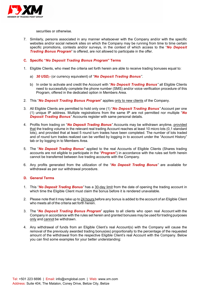

securities or otherwise.

7. Similarly, persons associated in any manner whatsoever with the Company and/or with the specific websites and/or social network sites on which the Company may be running from time to time certain specific promotions, contests and/or surveys, in the context of which access to the "*No Deposit Trading Bonus Program*" is offered, are not allowed to participate in the offer.

# **C. Specific "***No Deposit Trading Bonus Program***" Terms**

- 1. Eligible Clients, who meet the criteria set forth herein are able to receive trading bonuses equal to:
	- a) *30 USD,-* (or currency equivalent) of *"No Deposit Trading Bonus"*.
	- b) In order to activate and credit the Account with "*No Deposit Trading Bonus"* all Eligible Clients need to successfully complete the phone number (SMS) and/or voice verification procedure of this Program, offered in the dedicated option in Members Area.
- 2. This "*No Deposit Trading Bonus Program*" applies only to new clients of the Company.
- 3. All Eligible Clients are permitted to hold only one (1) "*No Deposit Trading Bonus"* Account per one (1) unique IP address. Multiple registrations from the same IP are not permitted nor multiple "*No*  **Deposit Trading Bonus**<sup>"</sup> Accounts register with same personal details.
- 4. Profits from trading on "*No Deposit Trading Bonus"* Accounts may be withdrawn anytime, provided that the trading volume in the relevant real trading Account reaches at least 10 micro lots (0,1 standard lots), and provided that at least 5 round turn trades have been completed. The number of lots traded and of round turn trades realized can be verified by logging in to account under the "Account History" tab or by logging in to Members Area.
- 5. The "*No Deposit Trading Bonus"* applied to the real Accounts of Eligible Clients (Shares trading accounts are not eligible to participate in the "*Program*") in accordance with the rules set forth herein cannot be transferred between live trading accounts with the Company.
- 6. Any profits generated from the utilization of the "*No Deposit Trading Bonus"* are available for withdrawal as per our withdrawal procedure.

# **D. General Terms**

- 1. This "*No Deposit Trading Bonus"* has a 30-day limit from the date of opening the trading account in which time the Eligible Client must claim the bonus before it is rendered unavailable.
- 2. Please note that it may take up to 24 hours before any bonus is added to the account of an Eligible Client who meets all of the criteria set forth herein.
- 3. The "*No Deposit Trading Bonus Program*" applies to all clients who open real Account with the Company in accordance with the rules set herein and granted bonuses may be used fortrading purposes only and cannot be withdrawn.
- 4. Any withdrawal of funds from an Eligible Client's real Account(s) with the Company will cause the removal of the previously awarded trading bonus(es) proportionally to the percentage of the requested amount of the withdrawal from the respective Eligible Client's real Account with the Company. Below you can find some examples for your better understanding: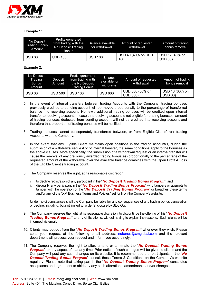

# **Example 1:**

| No Deposit<br><b>Trading Bonus</b><br><b>Amount</b> | Profits generated<br>from trading with the<br>No Deposit Trading<br><b>Bonus</b> | Balance available<br>for withdrawal | Amount of requested<br>withdrawal | Amount of trading<br>bonus removal |
|-----------------------------------------------------|----------------------------------------------------------------------------------|-------------------------------------|-----------------------------------|------------------------------------|
| <b>USD 30</b>                                       | <b>USD 100</b>                                                                   | <b>USD 100</b>                      | USD 40 (40% on USD<br>100)        | USD 12 (40% on<br><b>USD 30)</b>   |

### **Example 2:**

| No Deposit<br>Trading<br>Bonus<br>Amount | Deposit<br>Amount | Profits generated<br>from trading with<br>the No Deposit<br>Trading Bonus | Balance<br>available for<br>withdrawal | Amount of requested<br>withdrawal  | Amount of trading<br>bonus removal |
|------------------------------------------|-------------------|---------------------------------------------------------------------------|----------------------------------------|------------------------------------|------------------------------------|
| <b>USD 30</b>                            | <b>USD 500</b>    | <b>USD 100</b>                                                            | <b>USD 600</b>                         | USD 360 (60% on<br><b>USD 600)</b> | USD 18 (60% on<br>USD 30)          |

- 5. In the event of internal transfers between trading Accounts with the Company, trading bonuses previously credited to sending account will be moved proportionally to the percentage of transferred balance into receiving account. No new / additional trading bonuses will be credited upon internal transfer to receiving account. In case that receiving account is not eligible for trading bonuses, amount of trading bonuses deducted from sending account will not be credited into receiving account and therefore that proportion of trading bonuses will be nullified.
- 6. Trading bonuses cannot be separately transferred between, or from Eligible Clients' real trading Accounts with the Company.
- 7. In the event that any Eligible Client maintains open positions in the trading account(s) during the submission of a withdrawal request or of internal transfer, the same conditions apply to the bonuses as the above clauses. More specifically, the submission of a withdrawal request or an internal transfer will cause the removal of any previously awarded trading bonus(es) proportionally to the percentage of the requested amount of the withdrawal over the available balance combines with the Open Profit & Loss of the Eligible Client's trading account.
- 8. The Company reserves the right, at its reasonable discretion:
	- i. to decline registration of any participant in the "*No Deposit Trading Bonus Program*"; and
	- ii. disqualify any participant in the "*No Deposit Trading Bonus Program*" who tampers or attempts to tamper with the operation of the "*No Deposit Trading Bonus Program*" or breaches these terms and/or any of the "XM Business Terms and Policies" set forth on the Company's website.

Under no circumstances shall the Company be liable for any consequences of any trading bonus cancelation or decline, including, but not limited to, order(s) closure by Stop Out.

- 9. The Company reserves the right, at its reasonable discretion, to discontinue the offering of this "*No Deposit Trading Bonus Program*" to any of its clients, without having to explain the reasons. Such clients will be informed via email.
- 10. Clients may opt-out from the "*No Deposit Trading Bonus Program*" whenever they wish. Please send your request at the following email address: [nobonus@xmglobal.com](mailto:nobonus@xmglobal.com) and the relevant department will process your request and inform you accordingly.
- 11. The Company reserves the right to alter, amend or terminate the "*No Deposit Trading Bonus* **Program**" or any aspect of it at any time. Prior notice of such changes will be given to clients and the Company will post any such changes on its website. It is recommended that participants in the "*No Deposit Trading Bonus Program*" consult these Terms & Conditions on the Company's website regularly. Please note that taking part in the "*No Deposit Trading Bonus Program*" constitutes acceptance and agreement to abide by any such alterations, amendments and/or changes.